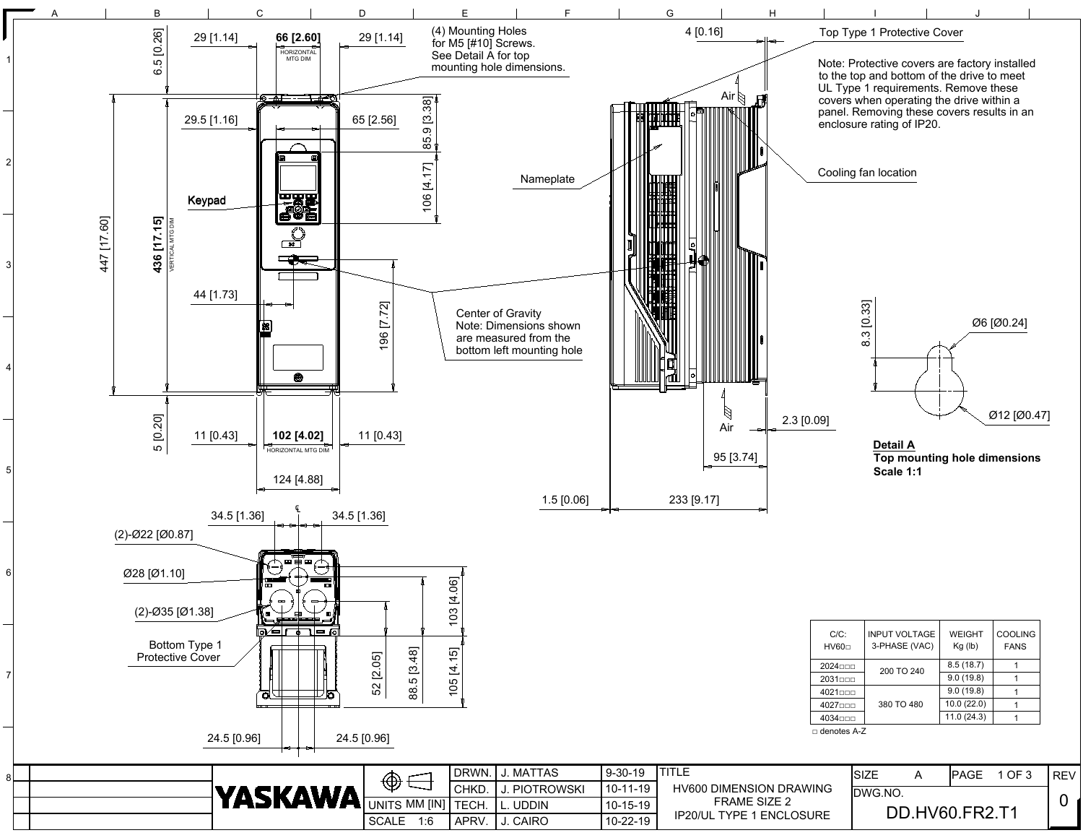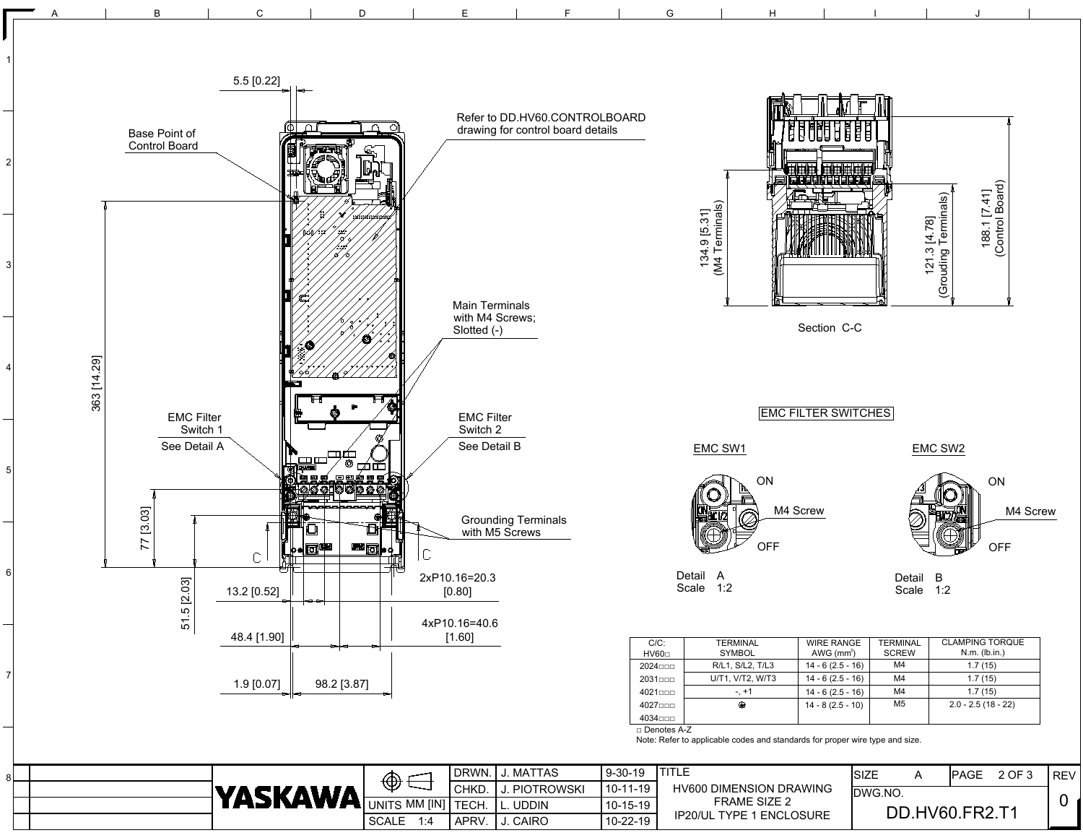

|         | DRWN. I J. MATTAS | $9 - 30 - 19$ | ITITI FI                        |
|---------|-------------------|---------------|---------------------------------|
| CHKD.   | I J. PIOTROWSKI   | l 10-11-19    | <b>HV600 DIMENSION DRAWING</b>  |
| I TECH. | II. UDDIN         | 10-15-19      | FRAME SIZE 2                    |
| APRV.   | I J. CAIRO        | 10-22-19      | <b>IP20/UL TYPE 1 ENCLOSURE</b> |